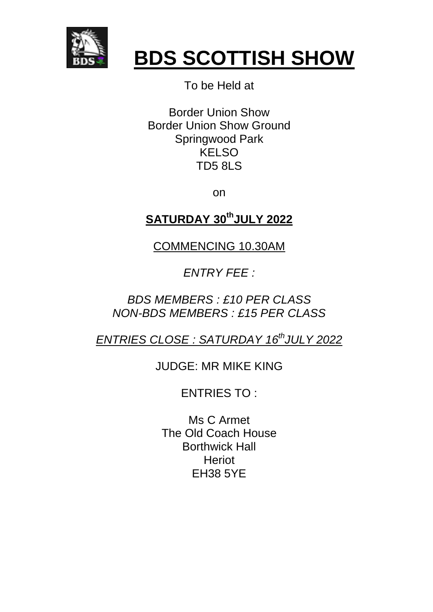

# **BDS SCOTTISH SHOW**

# To be Held at

Border Union Show Border Union Show Ground Springwood Park **KELSO** TD5 8LS

on

# **SATURDAY 30thJULY 2022**

# COMMENCING 10.30AM

# *ENTRY FEE :*

# *BDS MEMBERS : £10 PER CLASS NON-BDS MEMBERS : £15 PER CLASS*

# *ENTRIES CLOSE : SATURDAY 16thJULY 2022*

# JUDGE: MR MIKE KING

# ENTRIES TO :

Ms C Armet The Old Coach House Borthwick Hall **Heriot** EH38 5YE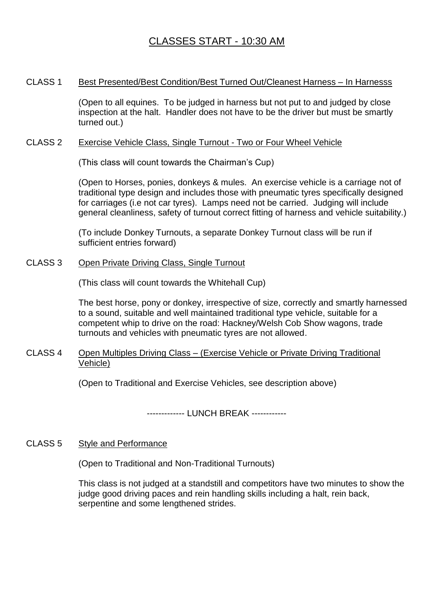## CLASSES START - 10:30 AM

### CLASS 1 Best Presented/Best Condition/Best Turned Out/Cleanest Harness – In Harnesss

(Open to all equines. To be judged in harness but not put to and judged by close inspection at the halt. Handler does not have to be the driver but must be smartly turned out.)

### CLASS 2 Exercise Vehicle Class, Single Turnout - Two or Four Wheel Vehicle

(This class will count towards the Chairman's Cup)

(Open to Horses, ponies, donkeys & mules. An exercise vehicle is a carriage not of traditional type design and includes those with pneumatic tyres specifically designed for carriages (i.e not car tyres). Lamps need not be carried. Judging will include general cleanliness, safety of turnout correct fitting of harness and vehicle suitability.)

(To include Donkey Turnouts, a separate Donkey Turnout class will be run if sufficient entries forward)

### CLASS 3 Open Private Driving Class, Single Turnout

(This class will count towards the Whitehall Cup)

The best horse, pony or donkey, irrespective of size, correctly and smartly harnessed to a sound, suitable and well maintained traditional type vehicle, suitable for a competent whip to drive on the road: Hackney/Welsh Cob Show wagons, trade turnouts and vehicles with pneumatic tyres are not allowed.

### CLASS 4 Open Multiples Driving Class – (Exercise Vehicle or Private Driving Traditional Vehicle)

(Open to Traditional and Exercise Vehicles, see description above)

------------- LUNCH BREAK ------------

### CLASS 5 Style and Performance

(Open to Traditional and Non-Traditional Turnouts)

This class is not judged at a standstill and competitors have two minutes to show the judge good driving paces and rein handling skills including a halt, rein back, serpentine and some lengthened strides.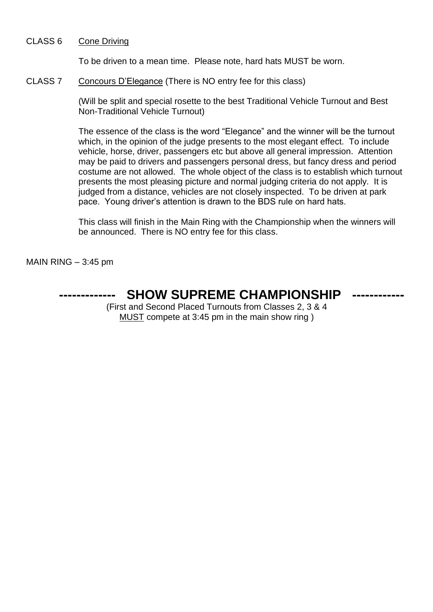CLASS 6 Cone Driving

To be driven to a mean time. Please note, hard hats MUST be worn.

CLASS 7 Concours D'Elegance (There is NO entry fee for this class)

(Will be split and special rosette to the best Traditional Vehicle Turnout and Best Non-Traditional Vehicle Turnout)

The essence of the class is the word "Elegance" and the winner will be the turnout which, in the opinion of the judge presents to the most elegant effect. To include vehicle, horse, driver, passengers etc but above all general impression. Attention may be paid to drivers and passengers personal dress, but fancy dress and period costume are not allowed. The whole object of the class is to establish which turnout presents the most pleasing picture and normal judging criteria do not apply. It is judged from a distance, vehicles are not closely inspected. To be driven at park pace. Young driver's attention is drawn to the BDS rule on hard hats.

This class will finish in the Main Ring with the Championship when the winners will be announced. There is NO entry fee for this class.

MAIN RING – 3:45 pm

# **SHOW SUPREME CHAMPIONSHIP -----------**

(First and Second Placed Turnouts from Classes 2, 3 & 4 MUST compete at 3:45 pm in the main show ring )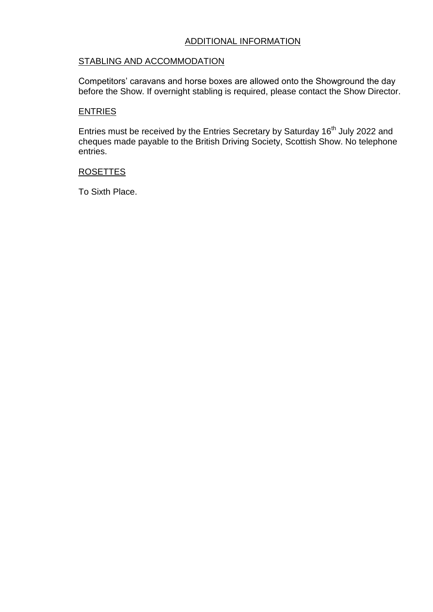### ADDITIONAL INFORMATION

### STABLING AND ACCOMMODATION

Competitors' caravans and horse boxes are allowed onto the Showground the day before the Show. If overnight stabling is required, please contact the Show Director.

### ENTRIES

Entries must be received by the Entries Secretary by Saturday  $16<sup>th</sup>$  July 2022 and cheques made payable to the British Driving Society, Scottish Show. No telephone entries.

### ROSETTES

To Sixth Place.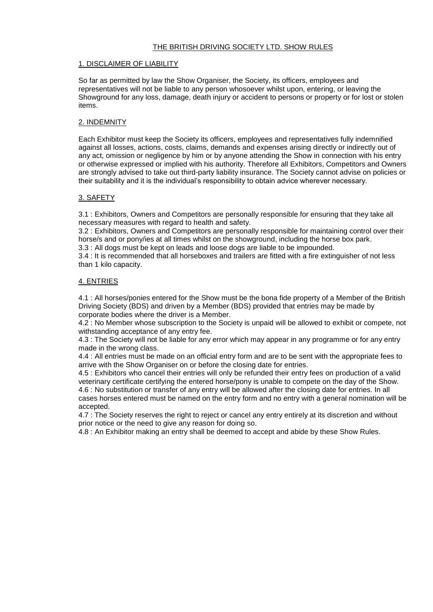#### THE BRITISH DRIVING SOCIETY LTD. SHOW RULES

#### 1. DISCLAIMER OF LIABILITY

So far as permitted by law the Show Organiser, the Society, its officers, employees and representatives will not be liable to any person whosoever whilst upon, entering, or leaving the Showground for any loss, damage, death injury or accident to persons or property or for lost or stolen items.

#### 2. INDEMNITY

Each Exhibitor must keep the Society its officers, employees and representatives fully indemnified against all losses, actions, costs, claims, demands and expenses arising directly or indirectly out of any act, omission or negligence by him or by anyone attending the Show in connection with his entry or otherwise expressed or implied with his authority. Therefore all Exhibitors, Competitors and Owners are strongly advised to take out third-party liability insurance. The Society cannot advise on policies or their suitability and it is the individual's responsibility to obtain advice wherever necessary.

#### 3. SAFETY

3.1 : Exhibitors, Owners and Competitors are personally responsible for ensuring that they take all necessary measures with regard to health and safety.

3.2 : Exhibitors, Owners and Competitors are personally responsible for maintaining control over their horse/s and or pony/ies at all times whilst on the showground, including the horse box park.

3.3 : All dogs must be kept on leads and loose dogs are liable to be impounded.

3.4 : It is recommended that all horseboxes and trailers are fitted with a fire extinguisher of not less than 1 kilo capacity.

#### 4. ENTRIES

4.1 : All horses/ponies entered for the Show must be the bona fide property of a Member of the British Driving Society (BDS) and driven by a Member (BDS) provided that entries may be made by corporate bodies where the driver is a Member.

4.2 : No Member whose subscription to the Society is unpaid will be allowed to exhibit or compete, not withstanding acceptance of any entry fee.

4.3 : The Society will not be liable for any error which may appear in any programme or for any entry made in the wrong class.

4.4 : All entries must be made on an official entry form and are to be sent with the appropriate fees to arrive with the Show Organiser on or before the closing date for entries.

4.5 : Exhibitors who cancel their entries will only be refunded their entry fees on production of a valid veterinary certificate certifying the entered horse/pony is unable to compete on the day of the Show. 4.6 : No substitution or transfer of any entry will be allowed after the closing date for entries. In all cases horses entered must be named on the entry form and no entry with a general nomination will be accepted.

4.7 : The Society reserves the right to reject or cancel any entry entirely at its discretion and without prior notice or the need to give any reason for doing so.

4.8 : An Exhibitor making an entry shall be deemed to accept and abide by these Show Rules.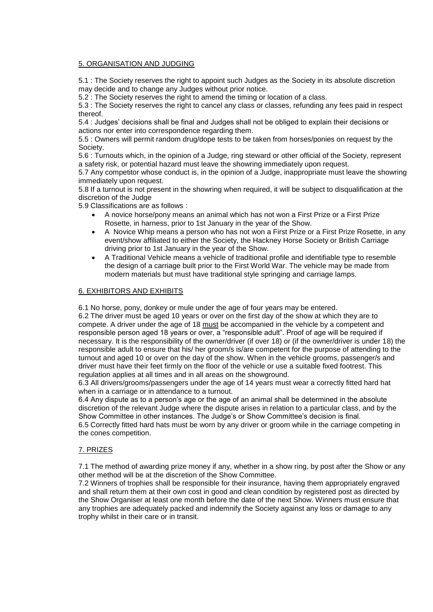#### 5. ORGANISATION AND JUDGING

5.1 : The Society reserves the right to appoint such Judges as the Society in its absolute discretion may decide and to change any Judges without prior notice.

5.2 : The Society reserves the right to amend the timing or location of a class.

5.3 : The Society reserves the right to cancel any class or classes, refunding any fees paid in respect thereof.

5.4 : Judges' decisions shall be final and Judges shall not be obliged to explain their decisions or actions nor enter into correspondence regarding them.

5.5 : Owners will permit random drug/dope tests to be taken from horses/ponies on request by the Society.

5.6 : Turnouts which, in the opinion of a Judge, ring steward or other official of the Society, represent a safety risk, or potential hazard must leave the showring immediately upon request.

5.7 Any competitor whose conduct is, in the opinion of a Judge, inappropriate must leave the showring immediately upon request.

5.8 If a turnout is not present in the showring when required, it will be subject to disqualification at the discretion of the Judge

5.9 Classifications are as follows :

- A novice horse/pony means an animal which has not won a First Prize or a First Prize Rosette, in harness, prior to 1st January in the year of the Show.
- A Novice Whip means a person who has not won a First Prize or a First Prize Rosette, in any event/show affiliated to either the Society, the Hackney Horse Society or British Carriage driving prior to 1st January in the year of the Show.
- A Traditional Vehicle means a vehicle of traditional profile and identifiable type to resemble the design of a carriage built prior to the First World War. The vehicle may be made from modern materials but must have traditional style springing and carriage lamps.

#### 6. EXHIBITORS AND EXHIBITS

6.1 No horse, pony, donkey or mule under the age of four years may be entered.

6.2 The driver must be aged 10 years or over on the first day of the show at which they are to compete. A driver under the age of 18 must be accompanied in the vehicle by a competent and responsible person aged 18 years or over, a "responsible adult". Proof of age will be required if necessary. It is the responsibility of the owner/driver (if over 18) or (if the owner/driver is under 18) the responsible adult to ensure that his/ her groom/s is/are competent for the purpose of attending to the turnout and aged 10 or over on the day of the show. When in the vehicle grooms, passenger/s and driver must have their feet firmly on the floor of the vehicle or use a suitable fixed footrest. This regulation applies at all times and in all areas on the showground.

6.3 All drivers/grooms/passengers under the age of 14 years must wear a correctly fitted hard hat when in a carriage or in attendance to a turnout.

6.4 Any dispute as to a person's age or the age of an animal shall be determined in the absolute discretion of the relevant Judge where the dispute arises in relation to a particular class, and by the Show Committee in other instances. The Judge's or Show Committee's decision is final.

6.5 Correctly fitted hard hats must be worn by any driver or groom while in the carriage competing in the cones competition.

#### 7. PRIZES

7.1 The method of awarding prize money if any, whether in a show ring, by post after the Show or any other method will be at the discretion of the Show Committee.

7.2 Winners of trophies shall be responsible for their insurance, having them appropriately engraved and shall return them at their own cost in good and clean condition by registered post as directed by the Show Organiser at least one month before the date of the next Show. Winners must ensure that any trophies are adequately packed and indemnify the Society against any loss or damage to any trophy whilst in their care or in transit.